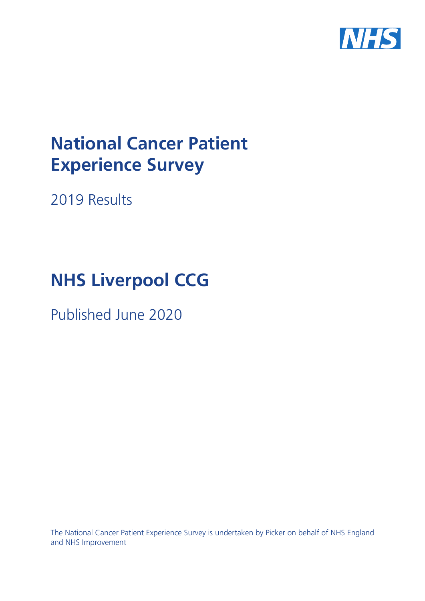

# **National Cancer Patient Experience Survey**

2019 Results

# **NHS Liverpool CCG**

Published June 2020

The National Cancer Patient Experience Survey is undertaken by Picker on behalf of NHS England and NHS Improvement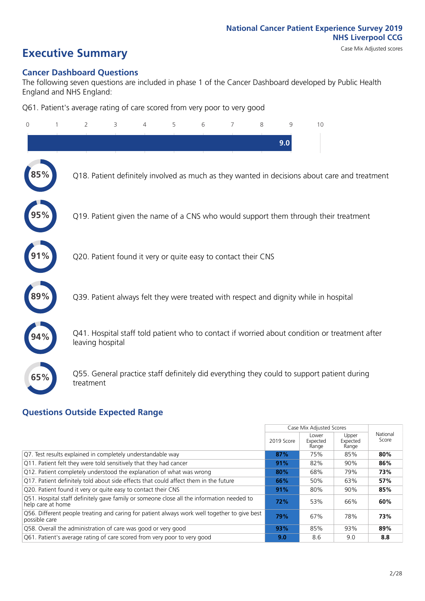# **Executive Summary** Case Mix Adjusted scores

### **Cancer Dashboard Questions**

The following seven questions are included in phase 1 of the Cancer Dashboard developed by Public Health England and NHS England:

Q61. Patient's average rating of care scored from very poor to very good

| $\Omega$ | $\overline{2}$                                                | 3 | 4 | 5 | 6 | $\overline{7}$ | 8 | 9   | 10                                                                                            |  |
|----------|---------------------------------------------------------------|---|---|---|---|----------------|---|-----|-----------------------------------------------------------------------------------------------|--|
|          |                                                               |   |   |   |   |                |   | 9.0 |                                                                                               |  |
|          |                                                               |   |   |   |   |                |   |     | Q18. Patient definitely involved as much as they wanted in decisions about care and treatment |  |
|          |                                                               |   |   |   |   |                |   |     | Q19. Patient given the name of a CNS who would support them through their treatment           |  |
| 91%      | Q20. Patient found it very or quite easy to contact their CNS |   |   |   |   |                |   |     |                                                                                               |  |
|          |                                                               |   |   |   |   |                |   |     | Q39. Patient always felt they were treated with respect and dignity while in hospital         |  |
|          | leaving hospital                                              |   |   |   |   |                |   |     | Q41. Hospital staff told patient who to contact if worried about condition or treatment after |  |
| 65%      | treatment                                                     |   |   |   |   |                |   |     | Q55. General practice staff definitely did everything they could to support patient during    |  |

### **Questions Outside Expected Range**

|                                                                                                                |            | Case Mix Adjusted Scores   |                            |                   |
|----------------------------------------------------------------------------------------------------------------|------------|----------------------------|----------------------------|-------------------|
|                                                                                                                | 2019 Score | Lower<br>Expected<br>Range | Upper<br>Expected<br>Range | National<br>Score |
| Q7. Test results explained in completely understandable way                                                    | 87%        | 75%                        | 85%                        | 80%               |
| Q11. Patient felt they were told sensitively that they had cancer                                              | 91%        | 82%                        | 90%                        | 86%               |
| Q12. Patient completely understood the explanation of what was wrong                                           | 80%        | 68%                        | 79%                        | 73%               |
| Q17. Patient definitely told about side effects that could affect them in the future                           | 66%        | 50%                        | 63%                        | 57%               |
| Q20. Patient found it very or quite easy to contact their CNS                                                  | 91%        | 80%                        | 90%                        | 85%               |
| Q51. Hospital staff definitely gave family or someone close all the information needed to<br>help care at home | 72%        | 53%                        | 66%                        | 60%               |
| Q56. Different people treating and caring for patient always work well together to give best<br>possible care  | 79%        | 67%                        | 78%                        | 73%               |
| Q58. Overall the administration of care was good or very good                                                  | 93%        | 85%                        | 93%                        | 89%               |
| Q61. Patient's average rating of care scored from very poor to very good                                       | 9.0        | 8.6                        | 9.0                        | 8.8               |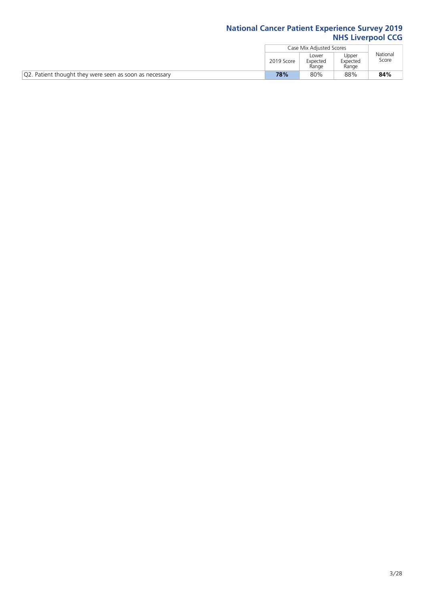|                                                         |            | Case Mix Adiusted Scores   |                            |                   |
|---------------------------------------------------------|------------|----------------------------|----------------------------|-------------------|
|                                                         | 2019 Score | Lower<br>Expected<br>Range | Upper<br>Expected<br>Range | National<br>Score |
| Q2. Patient thought they were seen as soon as necessary | 78%        | 80%                        | 88%                        | 84%               |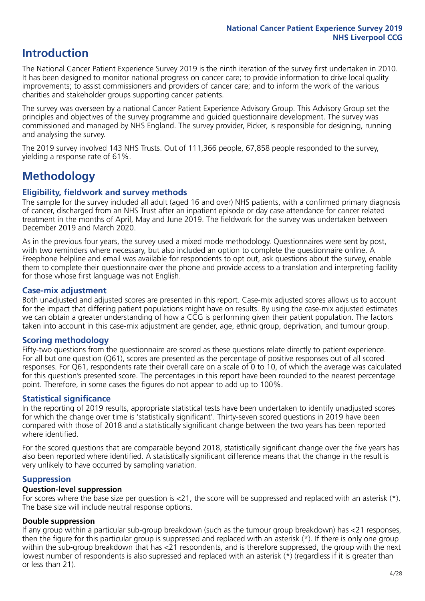### **Introduction**

The National Cancer Patient Experience Survey 2019 is the ninth iteration of the survey first undertaken in 2010. It has been designed to monitor national progress on cancer care; to provide information to drive local quality improvements; to assist commissioners and providers of cancer care; and to inform the work of the various charities and stakeholder groups supporting cancer patients.

The survey was overseen by a national Cancer Patient Experience Advisory Group. This Advisory Group set the principles and objectives of the survey programme and guided questionnaire development. The survey was commissioned and managed by NHS England. The survey provider, Picker, is responsible for designing, running and analysing the survey.

The 2019 survey involved 143 NHS Trusts. Out of 111,366 people, 67,858 people responded to the survey, yielding a response rate of 61%.

### **Methodology**

### **Eligibility, eldwork and survey methods**

The sample for the survey included all adult (aged 16 and over) NHS patients, with a confirmed primary diagnosis of cancer, discharged from an NHS Trust after an inpatient episode or day case attendance for cancer related treatment in the months of April, May and June 2019. The fieldwork for the survey was undertaken between December 2019 and March 2020.

As in the previous four years, the survey used a mixed mode methodology. Questionnaires were sent by post, with two reminders where necessary, but also included an option to complete the questionnaire online. A Freephone helpline and email was available for respondents to opt out, ask questions about the survey, enable them to complete their questionnaire over the phone and provide access to a translation and interpreting facility for those whose first language was not English.

### **Case-mix adjustment**

Both unadjusted and adjusted scores are presented in this report. Case-mix adjusted scores allows us to account for the impact that differing patient populations might have on results. By using the case-mix adjusted estimates we can obtain a greater understanding of how a CCG is performing given their patient population. The factors taken into account in this case-mix adjustment are gender, age, ethnic group, deprivation, and tumour group.

### **Scoring methodology**

Fifty-two questions from the questionnaire are scored as these questions relate directly to patient experience. For all but one question (Q61), scores are presented as the percentage of positive responses out of all scored responses. For Q61, respondents rate their overall care on a scale of 0 to 10, of which the average was calculated for this question's presented score. The percentages in this report have been rounded to the nearest percentage point. Therefore, in some cases the figures do not appear to add up to 100%.

### **Statistical significance**

In the reporting of 2019 results, appropriate statistical tests have been undertaken to identify unadjusted scores for which the change over time is 'statistically significant'. Thirty-seven scored questions in 2019 have been compared with those of 2018 and a statistically significant change between the two years has been reported where identified.

For the scored questions that are comparable beyond 2018, statistically significant change over the five years has also been reported where identified. A statistically significant difference means that the change in the result is very unlikely to have occurred by sampling variation.

### **Suppression**

### **Question-level suppression**

For scores where the base size per question is  $<$ 21, the score will be suppressed and replaced with an asterisk (\*). The base size will include neutral response options.

### **Double suppression**

If any group within a particular sub-group breakdown (such as the tumour group breakdown) has <21 responses, then the figure for this particular group is suppressed and replaced with an asterisk (\*). If there is only one group within the sub-group breakdown that has <21 respondents, and is therefore suppressed, the group with the next lowest number of respondents is also supressed and replaced with an asterisk (\*) (regardless if it is greater than or less than 21).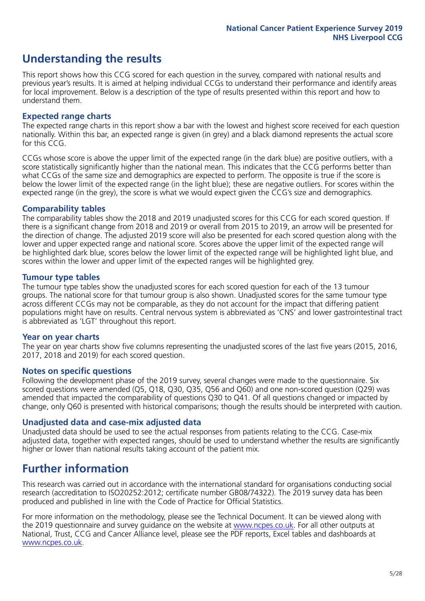### **Understanding the results**

This report shows how this CCG scored for each question in the survey, compared with national results and previous year's results. It is aimed at helping individual CCGs to understand their performance and identify areas for local improvement. Below is a description of the type of results presented within this report and how to understand them.

### **Expected range charts**

The expected range charts in this report show a bar with the lowest and highest score received for each question nationally. Within this bar, an expected range is given (in grey) and a black diamond represents the actual score for this CCG.

CCGs whose score is above the upper limit of the expected range (in the dark blue) are positive outliers, with a score statistically significantly higher than the national mean. This indicates that the CCG performs better than what CCGs of the same size and demographics are expected to perform. The opposite is true if the score is below the lower limit of the expected range (in the light blue); these are negative outliers. For scores within the expected range (in the grey), the score is what we would expect given the CCG's size and demographics.

### **Comparability tables**

The comparability tables show the 2018 and 2019 unadjusted scores for this CCG for each scored question. If there is a significant change from 2018 and 2019 or overall from 2015 to 2019, an arrow will be presented for the direction of change. The adjusted 2019 score will also be presented for each scored question along with the lower and upper expected range and national score. Scores above the upper limit of the expected range will be highlighted dark blue, scores below the lower limit of the expected range will be highlighted light blue, and scores within the lower and upper limit of the expected ranges will be highlighted grey.

### **Tumour type tables**

The tumour type tables show the unadjusted scores for each scored question for each of the 13 tumour groups. The national score for that tumour group is also shown. Unadjusted scores for the same tumour type across different CCGs may not be comparable, as they do not account for the impact that differing patient populations might have on results. Central nervous system is abbreviated as 'CNS' and lower gastrointestinal tract is abbreviated as 'LGT' throughout this report.

### **Year on year charts**

The year on year charts show five columns representing the unadjusted scores of the last five years (2015, 2016, 2017, 2018 and 2019) for each scored question.

#### **Notes on specific questions**

Following the development phase of the 2019 survey, several changes were made to the questionnaire. Six scored questions were amended (Q5, Q18, Q30, Q35, Q56 and Q60) and one non-scored question (Q29) was amended that impacted the comparability of questions Q30 to Q41. Of all questions changed or impacted by change, only Q60 is presented with historical comparisons; though the results should be interpreted with caution.

### **Unadjusted data and case-mix adjusted data**

Unadjusted data should be used to see the actual responses from patients relating to the CCG. Case-mix adjusted data, together with expected ranges, should be used to understand whether the results are significantly higher or lower than national results taking account of the patient mix.

### **Further information**

This research was carried out in accordance with the international standard for organisations conducting social research (accreditation to ISO20252:2012; certificate number GB08/74322). The 2019 survey data has been produced and published in line with the Code of Practice for Official Statistics.

For more information on the methodology, please see the Technical Document. It can be viewed along with the 2019 questionnaire and survey quidance on the website at [www.ncpes.co.uk](https://www.ncpes.co.uk/supporting-documents). For all other outputs at National, Trust, CCG and Cancer Alliance level, please see the PDF reports, Excel tables and dashboards at [www.ncpes.co.uk.](https://www.ncpes.co.uk/current-results)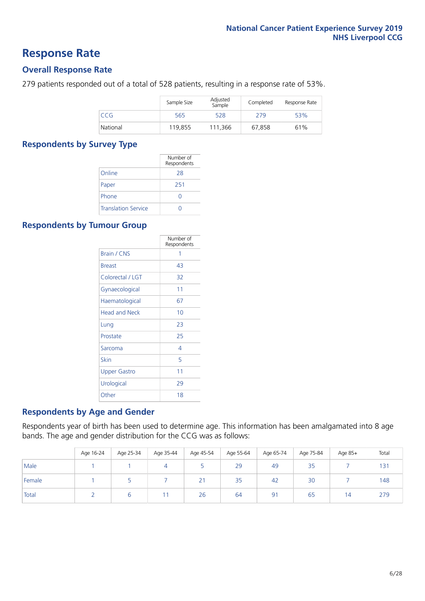### **Response Rate**

### **Overall Response Rate**

279 patients responded out of a total of 528 patients, resulting in a response rate of 53%.

|          | Sample Size | Adjusted<br>Sample | Completed | Response Rate |
|----------|-------------|--------------------|-----------|---------------|
| CCG      | 565         | 528                | 279       | 53%           |
| National | 119,855     | 111.366            | 67,858    | 61%           |

### **Respondents by Survey Type**

|                            | Number of<br>Respondents |
|----------------------------|--------------------------|
| Online                     | 28                       |
| Paper                      | 251                      |
| Phone                      |                          |
| <b>Translation Service</b> |                          |

### **Respondents by Tumour Group**

|                      | Number of<br>Respondents |
|----------------------|--------------------------|
| <b>Brain / CNS</b>   | 1                        |
| <b>Breast</b>        | 43                       |
| Colorectal / LGT     | 32                       |
| Gynaecological       | 11                       |
| Haematological       | 67                       |
| <b>Head and Neck</b> | 10                       |
| Lung                 | 23                       |
| Prostate             | 25                       |
| Sarcoma              | 4                        |
| Skin                 | 5                        |
| <b>Upper Gastro</b>  | 11                       |
| Urological           | 29                       |
| Other                | 18                       |

### **Respondents by Age and Gender**

Respondents year of birth has been used to determine age. This information has been amalgamated into 8 age bands. The age and gender distribution for the CCG was as follows:

|        | Age 16-24 | Age 25-34 | Age 35-44 | Age 45-54 | Age 55-64 | Age 65-74 | Age 75-84 | Age 85+        | Total |
|--------|-----------|-----------|-----------|-----------|-----------|-----------|-----------|----------------|-------|
| Male   |           |           |           |           | 29        | 49        | 35        |                | 131   |
| Female |           |           |           | 21        | 35        | 42        | 30        |                | 148   |
| Total  |           |           |           | 26        | 64        | 91        | 65        | $\overline{4}$ | 279   |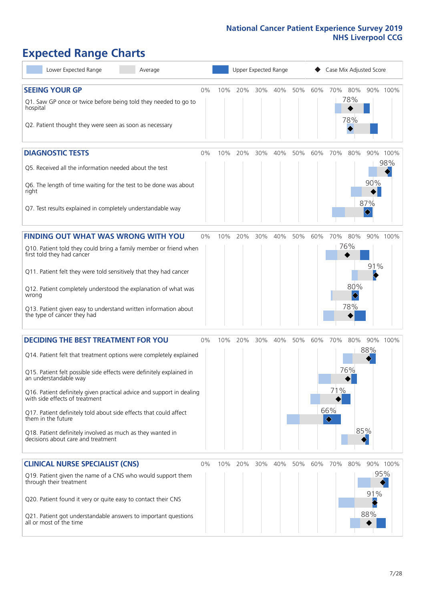# **Expected Range Charts**

| Lower Expected Range<br>Average                                                                         |       |     | Upper Expected Range |     |     |     |     | Case Mix Adjusted Score |            |                 |
|---------------------------------------------------------------------------------------------------------|-------|-----|----------------------|-----|-----|-----|-----|-------------------------|------------|-----------------|
| <b>SEEING YOUR GP</b>                                                                                   | $0\%$ | 10% | 20%                  | 30% | 40% | 50% | 60% | 70%<br>80%              |            | 90% 100%        |
| Q1. Saw GP once or twice before being told they needed to go to<br>hospital                             |       |     |                      |     |     |     |     | 78%<br>78%              |            |                 |
| Q2. Patient thought they were seen as soon as necessary                                                 |       |     |                      |     |     |     |     |                         |            |                 |
| <b>DIAGNOSTIC TESTS</b>                                                                                 | $0\%$ | 10% | 20%                  | 30% | 40% | 50% | 60% | 70%<br>80%              |            | 90% 100%<br>98% |
| Q5. Received all the information needed about the test                                                  |       |     |                      |     |     |     |     |                         |            |                 |
| Q6. The length of time waiting for the test to be done was about<br>right                               |       |     |                      |     |     |     |     |                         | 90%<br>87% |                 |
| Q7. Test results explained in completely understandable way                                             |       |     |                      |     |     |     |     |                         |            |                 |
| <b>FINDING OUT WHAT WAS WRONG WITH YOU</b>                                                              | $0\%$ | 10% | 20%                  | 30% | 40% | 50% | 60% | 70%<br>80%              |            | 90% 100%        |
| Q10. Patient told they could bring a family member or friend when<br>first told they had cancer         |       |     |                      |     |     |     |     | 76%                     |            |                 |
| Q11. Patient felt they were told sensitively that they had cancer                                       |       |     |                      |     |     |     |     |                         | 91%        |                 |
| Q12. Patient completely understood the explanation of what was<br>wrong                                 |       |     |                      |     |     |     |     | 80%                     |            |                 |
| Q13. Patient given easy to understand written information about<br>the type of cancer they had          |       |     |                      |     |     |     |     | 78%                     |            |                 |
| <b>DECIDING THE BEST TREATMENT FOR YOU</b>                                                              | $0\%$ | 10% | 20%                  | 30% | 40% | 50% | 60% | 70%<br>80%              |            | 90% 100%        |
| Q14. Patient felt that treatment options were completely explained                                      |       |     |                      |     |     |     |     |                         | 88%        |                 |
| Q15. Patient felt possible side effects were definitely explained in<br>an understandable way           |       |     |                      |     |     |     |     | 76%                     |            |                 |
| Q16. Patient definitely given practical advice and support in dealing<br>with side effects of treatment |       |     |                      |     |     |     |     | 71%                     |            |                 |
| Q17. Patient definitely told about side effects that could affect<br>them in the future                 |       |     |                      |     |     |     |     | 66%<br>♦                |            |                 |
| Q18. Patient definitely involved as much as they wanted in<br>decisions about care and treatment        |       |     |                      |     |     |     |     |                         | 85%        |                 |
| <b>CLINICAL NURSE SPECIALIST (CNS)</b>                                                                  | $0\%$ | 10% | 20%                  | 30% | 40% | 50% | 60% | 70%<br>80%              |            | 90% 100%        |
| Q19. Patient given the name of a CNS who would support them<br>through their treatment                  |       |     |                      |     |     |     |     |                         | 91%        | 95%             |
| Q20. Patient found it very or quite easy to contact their CNS                                           |       |     |                      |     |     |     |     |                         |            |                 |
| Q21. Patient got understandable answers to important questions<br>all or most of the time               |       |     |                      |     |     |     |     |                         | 88%        |                 |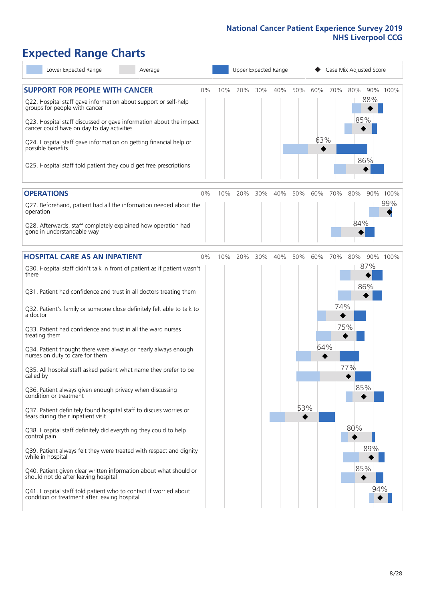# **Expected Range Charts**

| Lower Expected Range<br>Average                                                                                                                                                                                                                               |    |     |     |     | Upper Expected Range |     |     |     | Case Mix Adjusted Score |          |
|---------------------------------------------------------------------------------------------------------------------------------------------------------------------------------------------------------------------------------------------------------------|----|-----|-----|-----|----------------------|-----|-----|-----|-------------------------|----------|
| <b>SUPPORT FOR PEOPLE WITH CANCER</b><br>Q22. Hospital staff gave information about support or self-help<br>groups for people with cancer<br>Q23. Hospital staff discussed or gave information about the impact<br>cancer could have on day to day activities | 0% | 10% | 20% | 30% | 40%                  | 50% | 60% | 70% | 80%<br>88%<br>85%       | 90% 100% |
| Q24. Hospital staff gave information on getting financial help or<br>possible benefits<br>Q25. Hospital staff told patient they could get free prescriptions                                                                                                  |    |     |     |     |                      |     | 63% |     | 86%                     |          |
| <b>OPERATIONS</b>                                                                                                                                                                                                                                             | 0% | 10% | 20% | 30% | 40%                  | 50% | 60% | 70% | 80%<br>90%              | 100%     |
| Q27. Beforehand, patient had all the information needed about the<br>operation<br>Q28. Afterwards, staff completely explained how operation had<br>gone in understandable way                                                                                 |    |     |     |     |                      |     |     |     | 84%                     | 99%      |
| <b>HOSPITAL CARE AS AN INPATIENT</b>                                                                                                                                                                                                                          | 0% | 10% | 20% | 30% | 40%                  | 50% | 60% | 70% | 80%                     | 90% 100% |
| Q30. Hospital staff didn't talk in front of patient as if patient wasn't<br>there                                                                                                                                                                             |    |     |     |     |                      |     |     |     | 87%                     |          |
| Q31. Patient had confidence and trust in all doctors treating them                                                                                                                                                                                            |    |     |     |     |                      |     |     |     | 86%                     |          |
| Q32. Patient's family or someone close definitely felt able to talk to<br>a doctor                                                                                                                                                                            |    |     |     |     |                      |     |     | 74% |                         |          |
| Q33. Patient had confidence and trust in all the ward nurses<br>treating them                                                                                                                                                                                 |    |     |     |     |                      |     |     |     | 75%                     |          |
| Q34. Patient thought there were always or nearly always enough<br>nurses on duty to care for them                                                                                                                                                             |    |     |     |     |                      |     | 64% |     |                         |          |
| Q35. All hospital staff asked patient what name they prefer to be<br>called by                                                                                                                                                                                |    |     |     |     |                      |     |     |     | 77%                     |          |
| Q36. Patient always given enough privacy when discussing<br>condition or treatment                                                                                                                                                                            |    |     |     |     |                      |     |     |     | 85%                     |          |
| Q37. Patient definitely found hospital staff to discuss worries or<br>fears during their inpatient visit                                                                                                                                                      |    |     |     |     |                      | 53% |     |     |                         |          |
| Q38. Hospital staff definitely did everything they could to help<br>control pain                                                                                                                                                                              |    |     |     |     |                      |     |     |     | 80%                     |          |
| Q39. Patient always felt they were treated with respect and dignity<br>while in hospital                                                                                                                                                                      |    |     |     |     |                      |     |     |     | 89%                     |          |
| Q40. Patient given clear written information about what should or<br>should not do after leaving hospital                                                                                                                                                     |    |     |     |     |                      |     |     |     | 85%                     |          |
| Q41. Hospital staff told patient who to contact if worried about<br>condition or treatment after leaving hospital                                                                                                                                             |    |     |     |     |                      |     |     |     |                         | 94%      |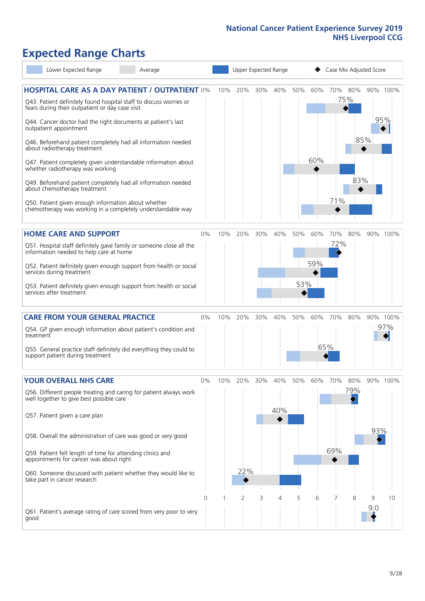# **Expected Range Charts**

| Lower Expected Range<br>Average                                                                                             |          |     |     |     | Upper Expected Range |     |     | Case Mix Adjusted Score |                |     |          |
|-----------------------------------------------------------------------------------------------------------------------------|----------|-----|-----|-----|----------------------|-----|-----|-------------------------|----------------|-----|----------|
| <b>HOSPITAL CARE AS A DAY PATIENT / OUTPATIENT 0%</b><br>Q43. Patient definitely found hospital staff to discuss worries or |          | 10% | 20% | 30% | 40%                  | 50% | 60% |                         | 70% 80%<br>75% |     | 90% 100% |
| fears during their outpatient or day case visit<br>Q44. Cancer doctor had the right documents at patient's last             |          |     |     |     |                      |     |     |                         |                |     | 95%      |
| outpatient appointment<br>Q46. Beforehand patient completely had all information needed                                     |          |     |     |     |                      |     |     |                         |                | 85% |          |
| about radiotherapy treatment<br>Q47. Patient completely given understandable information about                              |          |     |     |     |                      |     | 60% |                         |                |     |          |
| whether radiotherapy was working<br>Q49. Beforehand patient completely had all information needed                           |          |     |     |     |                      |     |     |                         | 83%            |     |          |
| about chemotherapy treatment<br>Q50. Patient given enough information about whether                                         |          |     |     |     |                      |     |     | 71%                     |                |     |          |
| chemotherapy was working in a completely understandable way                                                                 |          |     |     |     |                      |     |     |                         |                |     |          |
| <b>HOME CARE AND SUPPORT</b>                                                                                                | 0%       | 10% | 20% | 30% | 40%                  | 50% | 60% | 70%                     | 80%            |     | 90% 100% |
| Q51. Hospital staff definitely gave family or someone close all the<br>information needed to help care at home              |          |     |     |     |                      |     |     | 72%                     |                |     |          |
| Q52. Patient definitely given enough support from health or social<br>services during treatment                             |          |     |     |     |                      |     | 59% |                         |                |     |          |
| Q53. Patient definitely given enough support from health or social<br>services after treatment                              |          |     |     |     |                      | 53% |     |                         |                |     |          |
| <b>CARE FROM YOUR GENERAL PRACTICE</b>                                                                                      | $0\%$    | 10% | 20% | 30% | 40%                  | 50% | 60% | 70%                     | 80%            |     | 90% 100% |
| Q54. GP given enough information about patient's condition and<br>treatment                                                 |          |     |     |     |                      |     |     |                         |                |     | 97%      |
| Q55. General practice staff definitely did everything they could to<br>support patient during treatment                     |          |     |     |     |                      |     | 65% |                         |                |     |          |
| YOUR OVERALL NHS CARE                                                                                                       | 0%       | 10% | 20% | 30% | 40%                  | 50% | 60% | 70%                     | 80%            |     | 90% 100% |
| Q56. Different people treating and caring for patient always work<br>well together to give best possible care               |          |     |     |     |                      |     |     |                         | 79%            |     |          |
| Q57. Patient given a care plan                                                                                              |          |     |     |     | 40%                  |     |     |                         |                |     |          |
| Q58. Overall the administration of care was good or very good                                                               |          |     |     |     |                      |     |     |                         |                | 93% |          |
| Q59. Patient felt length of time for attending clinics and<br>appointments for cancer was about right                       |          |     |     |     |                      |     |     | 69%                     |                |     |          |
| Q60. Someone discussed with patient whether they would like to<br>take part in cancer research                              |          |     | 22% |     |                      |     |     |                         |                |     |          |
|                                                                                                                             | $\Omega$ |     | 2   | 3   | 4                    | 5   | 6   | 7                       | 8              | 9   | 10       |
| Q61. Patient's average rating of care scored from very poor to very<br>good                                                 |          |     |     |     |                      |     |     |                         |                | 9:0 |          |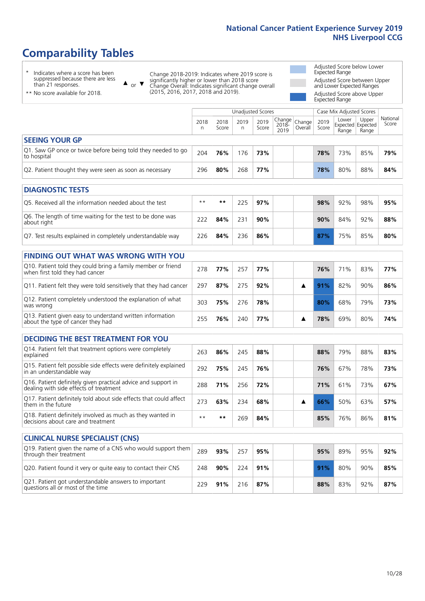# **Comparability Tables**

\* Indicates where a score has been suppressed because there are less than 21 responses.

\*\* No score available for 2018.

or  $\blacktriangledown$  $\blacktriangle$ 

Change 2018-2019: Indicates where 2019 score is significantly higher or lower than 2018 score Change Overall: Indicates significant change overall (2015, 2016, 2017, 2018 and 2019).

Adjusted Score below Lower Expected Range Adjusted Score between Upper and Lower Expected Ranges Adjusted Score above Upper Expected Range

|                                                                             |           |               | Unadjusted Scores |               |                         |                   | Case Mix Adjusted Scores |                                     |                |                   |
|-----------------------------------------------------------------------------|-----------|---------------|-------------------|---------------|-------------------------|-------------------|--------------------------|-------------------------------------|----------------|-------------------|
|                                                                             | 2018<br>n | 2018<br>Score | 2019<br>n         | 2019<br>Score | Change<br>2018-<br>2019 | Change<br>Overall | 2019<br>Score            | Lower<br>Expected Expected<br>Range | Upper<br>Range | National<br>Score |
| <b>SEEING YOUR GP</b>                                                       |           |               |                   |               |                         |                   |                          |                                     |                |                   |
| Q1. Saw GP once or twice before being told they needed to go<br>to hospital | 204       | 76%           | 176               | 73%           |                         |                   | 78%                      | 73%                                 | 85%            | 79%               |
| Q2. Patient thought they were seen as soon as necessary                     | 296       | 80%           | 268               | 77%           |                         |                   | 78%                      | 80%                                 | 88%            | 84%               |
| <b>DIAGNOSTIC TESTS</b>                                                     |           |               |                   |               |                         |                   |                          |                                     |                |                   |
| O5. Received all the information needed about the test                      | $***$     | $* *$         | 225               | 97%           |                         |                   | 98%                      | 92%                                 | 98%            | 95%               |
| Q6. The length of time waiting for the test to be done was<br>about right   | 222       | 84%           | 231               | 90%           |                         |                   | 90%                      | 84%                                 | 92%            | 88%               |
| Q7. Test results explained in completely understandable way                 | 226       | 84%           | 236               | 86%           |                         |                   | 87%                      | 75%                                 | 85%            | 80%               |

| <b>FINDING OUT WHAT WAS WRONG WITH YOU</b>                                                      |     |     |     |     |  |     |     |     |     |  |  |  |
|-------------------------------------------------------------------------------------------------|-----|-----|-----|-----|--|-----|-----|-----|-----|--|--|--|
| Q10. Patient told they could bring a family member or friend<br>when first told they had cancer | 278 | 77% | 257 | 77% |  | 76% | 71% | 83% | 77% |  |  |  |
| Q11. Patient felt they were told sensitively that they had cancer                               | 297 | 87% | 275 | 92% |  | 91% | 82% | 90% | 86% |  |  |  |
| Q12. Patient completely understood the explanation of what<br>was wrong                         | 303 | 75% | 276 | 78% |  | 80% | 68% | 79% | 73% |  |  |  |
| Q13. Patient given easy to understand written information<br>about the type of cancer they had  | 255 | 76% | 240 | 77% |  | 78% | 69% | 80% | 74% |  |  |  |

| <b>DECIDING THE BEST TREATMENT FOR YOU</b>                                                              |      |     |     |     |  |     |     |     |     |
|---------------------------------------------------------------------------------------------------------|------|-----|-----|-----|--|-----|-----|-----|-----|
| Q14. Patient felt that treatment options were completely<br>explained                                   | 263  | 86% | 245 | 88% |  | 88% | 79% | 88% | 83% |
| Q15. Patient felt possible side effects were definitely explained<br>in an understandable way           | 292  | 75% | 245 | 76% |  | 76% | 67% | 78% | 73% |
| Q16. Patient definitely given practical advice and support in<br>dealing with side effects of treatment | 288  | 71% | 256 | 72% |  | 71% | 61% | 73% | 67% |
| Q17. Patient definitely told about side effects that could affect<br>them in the future                 | 273  | 63% | 234 | 68% |  | 66% | 50% | 63% | 57% |
| Q18. Patient definitely involved as much as they wanted in<br>decisions about care and treatment        | $**$ | **  | 269 | 84% |  | 85% | 76% | 86% | 81% |

| <b>CLINICAL NURSE SPECIALIST (CNS)</b>                                                    |     |     |     |     |  |     |     |     |     |
|-------------------------------------------------------------------------------------------|-----|-----|-----|-----|--|-----|-----|-----|-----|
| Q19. Patient given the name of a CNS who would support them<br>through their treatment    | 289 | 93% | 257 | 95% |  | 95% | 89% | 95% | 92% |
| Q20. Patient found it very or quite easy to contact their CNS                             | 248 | 90% | 224 | 91% |  | 91% | 80% | 90% | 85% |
| Q21. Patient got understandable answers to important<br>questions all or most of the time | 229 | 91% | 216 | 87% |  | 88% | 83% | 92% | 87% |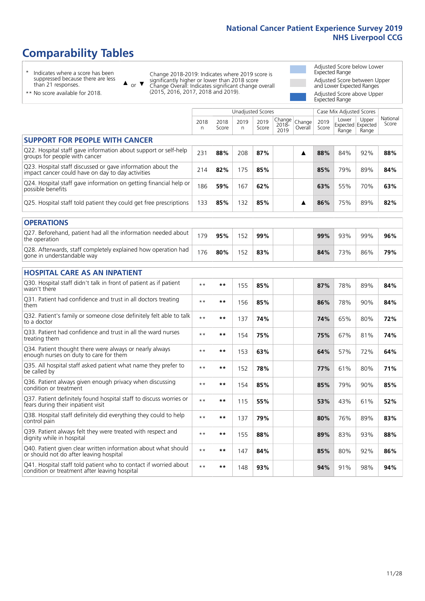# **Comparability Tables**

\* Indicates where a score has been suppressed because there are less than 21 responses.

\*\* No score available for 2018.

 $\triangle$  or  $\nabla$ 

Change 2018-2019: Indicates where 2019 score is significantly higher or lower than 2018 score Change Overall: Indicates significant change overall (2015, 2016, 2017, 2018 and 2019).

Adjusted Score below Lower Expected Range Adjusted Score between Upper and Lower Expected Ranges Adjusted Score above Upper Expected Range

|                                                                                                                   |           |               | <b>Unadjusted Scores</b> |               |                         |                   |               | Case Mix Adjusted Scores            |                |                   |
|-------------------------------------------------------------------------------------------------------------------|-----------|---------------|--------------------------|---------------|-------------------------|-------------------|---------------|-------------------------------------|----------------|-------------------|
|                                                                                                                   | 2018<br>n | 2018<br>Score | 2019<br>n                | 2019<br>Score | Change<br>2018-<br>2019 | Change<br>Overall | 2019<br>Score | Lower<br>Expected Expected<br>Range | Upper<br>Range | National<br>Score |
| <b>SUPPORT FOR PEOPLE WITH CANCER</b>                                                                             |           |               |                          |               |                         |                   |               |                                     |                |                   |
| Q22. Hospital staff gave information about support or self-help<br>groups for people with cancer                  | 231       | 88%           | 208                      | 87%           |                         | ▲                 | 88%           | 84%                                 | 92%            | 88%               |
| Q23. Hospital staff discussed or gave information about the<br>impact cancer could have on day to day activities  | 214       | 82%           | 175                      | 85%           |                         |                   | 85%           | 79%                                 | 89%            | 84%               |
| Q24. Hospital staff gave information on getting financial help or<br>possible benefits                            | 186       | 59%           | 167                      | 62%           |                         |                   | 63%           | 55%                                 | 70%            | 63%               |
| Q25. Hospital staff told patient they could get free prescriptions                                                | 133       | 85%           | 132                      | 85%           |                         | ▲                 | 86%           | 75%                                 | 89%            | 82%               |
| <b>OPERATIONS</b>                                                                                                 |           |               |                          |               |                         |                   |               |                                     |                |                   |
| Q27. Beforehand, patient had all the information needed about<br>the operation                                    | 179       | 95%           | 152                      | 99%           |                         |                   | 99%           | 93%                                 | 99%            | 96%               |
| Q28. Afterwards, staff completely explained how operation had<br>gone in understandable way                       | 176       | 80%           | 152                      | 83%           |                         |                   | 84%           | 73%                                 | 86%            | 79%               |
| <b>HOSPITAL CARE AS AN INPATIENT</b>                                                                              |           |               |                          |               |                         |                   |               |                                     |                |                   |
| Q30. Hospital staff didn't talk in front of patient as if patient<br>wasn't there                                 | $* *$     | $***$         | 155                      | 85%           |                         |                   | 87%           | 78%                                 | 89%            | 84%               |
| Q31. Patient had confidence and trust in all doctors treating<br>them                                             | $**$      | $***$         | 156                      | 85%           |                         |                   | 86%           | 78%                                 | 90%            | 84%               |
| Q32. Patient's family or someone close definitely felt able to talk<br>to a doctor                                | $* *$     | $***$         | 137                      | 74%           |                         |                   | 74%           | 65%                                 | 80%            | 72%               |
| Q33. Patient had confidence and trust in all the ward nurses<br>treating them                                     | $* *$     | $***$         | 154                      | 75%           |                         |                   | 75%           | 67%                                 | 81%            | 74%               |
| Q34. Patient thought there were always or nearly always<br>enough nurses on duty to care for them                 | $* *$     | $***$         | 153                      | 63%           |                         |                   | 64%           | 57%                                 | 72%            | 64%               |
| Q35. All hospital staff asked patient what name they prefer to<br>be called by                                    | $**$      | $***$         | 152                      | 78%           |                         |                   | 77%           | 61%                                 | 80%            | 71%               |
| Q36. Patient always given enough privacy when discussing<br>condition or treatment                                | $* *$     | $***$         | 154                      | 85%           |                         |                   | 85%           | 79%                                 | 90%            | 85%               |
| Q37. Patient definitely found hospital staff to discuss worries or<br>fears during their inpatient visit          | $**$      | $***$         | 115                      | 55%           |                         |                   | 53%           | 43%                                 | 61%            | 52%               |
| Q38. Hospital staff definitely did everything they could to help<br>control pain                                  | $* *$     | $***$         | 137                      | 79%           |                         |                   | 80%           | 76%                                 | 89%            | 83%               |
| Q39. Patient always felt they were treated with respect and<br>dignity while in hospital                          | $***$     | $***$         | 155                      | 88%           |                         |                   | 89%           | 83%                                 | 93%            | 88%               |
| Q40. Patient given clear written information about what should<br>or should not do after leaving hospital         | $* *$     | $***$         | 147                      | 84%           |                         |                   | 85%           | 80%                                 | 92%            | 86%               |
| Q41. Hospital staff told patient who to contact if worried about<br>condition or treatment after leaving hospital | $* *$     | $***$         | 148                      | 93%           |                         |                   | 94%           | 91%                                 | 98%            | 94%               |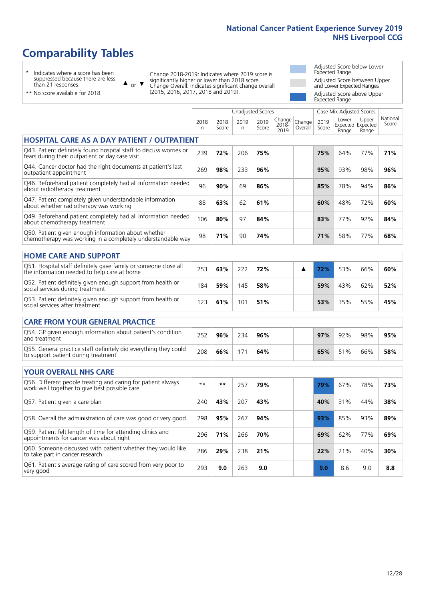## **Comparability Tables**

\* Indicates where a score has been suppressed because there are less than 21 responses.

\*\* No score available for 2018.

 $\triangle$  or  $\nabla$ 

Change 2018-2019: Indicates where 2019 score is significantly higher or lower than 2018 score Change Overall: Indicates significant change overall (2015, 2016, 2017, 2018 and 2019).

Adjusted Score below Lower Expected Range Adjusted Score between Upper and Lower Expected Ranges Adjusted Score above Upper Expected Range

|                                                                                                                       |              |               |            | <b>Unadjusted Scores</b> |                            |                   |               | Case Mix Adjusted Scores            |                |                   |
|-----------------------------------------------------------------------------------------------------------------------|--------------|---------------|------------|--------------------------|----------------------------|-------------------|---------------|-------------------------------------|----------------|-------------------|
|                                                                                                                       | 2018<br>n    | 2018<br>Score | 2019<br>n. | 2019<br>Score            | Change<br>$2018 -$<br>2019 | Change<br>Overall | 2019<br>Score | Lower<br>Expected Expected<br>Range | Upper<br>Range | National<br>Score |
| <b>HOSPITAL CARE AS A DAY PATIENT / OUTPATIENT</b>                                                                    |              |               |            |                          |                            |                   |               |                                     |                |                   |
| Q43. Patient definitely found hospital staff to discuss worries or<br>fears during their outpatient or day case visit | 239          | 72%           | 206        | 75%                      |                            |                   | 75%           | 64%                                 | 77%            | 71%               |
| Q44. Cancer doctor had the right documents at patient's last<br>outpatient appointment                                | 269          | 98%           | 233        | 96%                      |                            |                   | 95%           | 93%                                 | 98%            | 96%               |
| Q46. Beforehand patient completely had all information needed<br>about radiotherapy treatment                         | 96           | 90%           | 69         | 86%                      |                            |                   | 85%           | 78%                                 | 94%            | 86%               |
| Q47. Patient completely given understandable information<br>about whether radiotherapy was working                    | 88           | 63%           | 62         | 61%                      |                            |                   | 60%           | 48%                                 | 72%            | 60%               |
| Q49. Beforehand patient completely had all information needed<br>about chemotherapy treatment                         | 106          | 80%           | 97         | 84%                      |                            |                   | 83%           | 77%                                 | 92%            | 84%               |
| Q50. Patient given enough information about whether<br>chemotherapy was working in a completely understandable way    | 98           | 71%           | 90         | 74%                      |                            |                   | 71%           | 58%                                 | 77%            | 68%               |
| <b>HOME CARE AND SUPPORT</b>                                                                                          |              |               |            |                          |                            |                   |               |                                     |                |                   |
| Q51. Hospital staff definitely gave family or someone close all<br>the information needed to help care at home        | 253          | 63%           | 222        | 72%                      |                            | ▲                 | 72%           | 53%                                 | 66%            | 60%               |
| Q52. Patient definitely given enough support from health or<br>social services during treatment                       | 184          | 59%           | 145        | 58%                      |                            |                   | 59%           | 43%                                 | 62%            | 52%               |
| Q53. Patient definitely given enough support from health or<br>social services after treatment                        | 123          | 61%           | 101        | 51%                      |                            |                   | 53%           | 35%                                 | 55%            | 45%               |
| <b>CARE FROM YOUR GENERAL PRACTICE</b>                                                                                |              |               |            |                          |                            |                   |               |                                     |                |                   |
| Q54. GP given enough information about patient's condition<br>and treatment                                           | 252          | 96%           | 234        | 96%                      |                            |                   | 97%           | 92%                                 | 98%            | 95%               |
| Q55. General practice staff definitely did everything they could<br>to support patient during treatment               | 208          | 66%           | 171        | 64%                      |                            |                   | 65%           | 51%                                 | 66%            | 58%               |
| <b>YOUR OVERALL NHS CARE</b>                                                                                          |              |               |            |                          |                            |                   |               |                                     |                |                   |
| Q56. Different people treating and caring for patient always<br>work well together to give best possible care         | $\star\star$ | $***$         | 257        | 79%                      |                            |                   | 79%           | 67%                                 | 78%            | 73%               |
| Q57. Patient given a care plan                                                                                        | 240          | 43%           | 207        | 43%                      |                            |                   | 40%           | 31%                                 | 44%            | 38%               |
| Q58. Overall the administration of care was good or very good                                                         | 298          | 95%           | 267        | 94%                      |                            |                   | 93%           | 85%                                 | 93%            | 89%               |
| Q59. Patient felt length of time for attending clinics and<br>appointments for cancer was about right                 | 296          | 71%           | 266        | 70%                      |                            |                   | 69%           | 62%                                 | 77%            | 69%               |
| Q60. Someone discussed with patient whether they would like<br>to take part in cancer research                        | 286          | 29%           | 238        | 21%                      |                            |                   | 22%           | 21%                                 | 40%            | 30%               |
| Q61. Patient's average rating of care scored from very poor to<br>very good                                           | 293          | 9.0           | 263        | 9.0                      |                            |                   | 9.0           | 8.6                                 | 9.0            | 8.8               |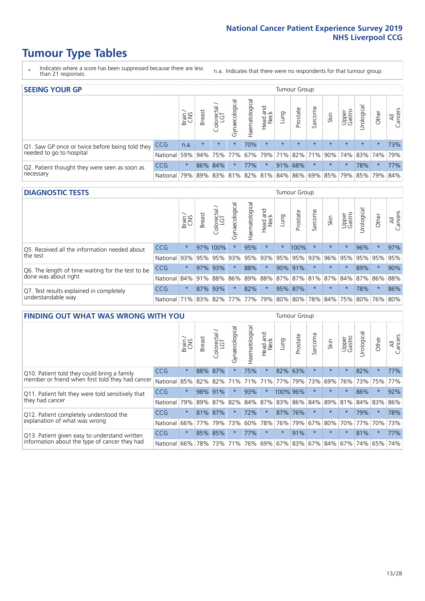## **Tumour Type Tables**

- \* Indicates where a score has been suppressed because there are less than 21 responses.
- n.a. Indicates that there were no respondents for that tumour group.

| <b>SEEING YOUR GP</b>                           |            |              |               |             |                    |                |                  |         | Tumour Group |         |                                         |                 |                                     |         |                |
|-------------------------------------------------|------------|--------------|---------------|-------------|--------------------|----------------|------------------|---------|--------------|---------|-----------------------------------------|-----------------|-------------------------------------|---------|----------------|
|                                                 |            | Brain<br>CNS | <b>Breast</b> | Colorectal  | ᠊ᢛ<br>Gynaecologic | Haematological | Head and<br>Neck | Lung    | Prostate     | Sarcoma | Skin                                    | Upper<br>Gastro | $\sigma$<br>Jrologica               | Other   | All<br>Cancers |
| Q1. Saw GP once or twice before being told they | <b>CCG</b> | n.a.         | $\star$       | $\star$     | $\star$            | 70%            | $\star$          | $\star$ | $\star$      | $\star$ | $\star$                                 | $\star$         | $\star$                             | $\star$ | 73%            |
| needed to go to hospital                        | National   | 59%          |               | 94% 75% 77% |                    |                |                  |         |              |         |                                         |                 | 67% 79% 71% 82% 71% 90% 74% 83% 74% |         | 79%            |
| Q2. Patient thought they were seen as soon as   | <b>CCG</b> | $\star$      |               | 86% 84%     | $\star$            | 77%            | $\star$          | 91%     | 68%          | $\star$ | $\star$                                 | $\star$         | 78%                                 | $\star$ | 77%            |
| necessary                                       | National   | 79%          |               |             |                    |                |                  |         |              |         | 89% 83% 81% 82% 81% 84% 86% 69% 85% 79% |                 | 85% 79%                             |         | 84%            |

#### **DIAGNOSTIC TESTS** Tumour Group

|                                                   |                                          | Brain   | <b>Breast</b> | olorectal<br>LGT<br>Ü | Gynaecological | Haematological | Head and<br>Neck | Lung    | Prostate | Sarcoma | Skin    | Upper<br>Gastro | Irological                                  | Other   | All<br>Cancers |
|---------------------------------------------------|------------------------------------------|---------|---------------|-----------------------|----------------|----------------|------------------|---------|----------|---------|---------|-----------------|---------------------------------------------|---------|----------------|
| Q5. Received all the information needed about     | <b>CCG</b>                               | $\star$ |               | 97% 100%              |                | 95%            | $\star$          |         | 100%     | $\star$ | $\star$ | $\star$         | 96%                                         | $\star$ | 97%            |
| the test                                          | National                                 | 93%     | 95%           | 95%                   | 93%            | 95%            |                  | 93% 95% | 95%      | 93%     | 96%     | 95%             | 95%                                         | 95%     | 95%            |
| Q6. The length of time waiting for the test to be | <b>CCG</b>                               | $\star$ |               | 97% 93%               |                | 88%            | $\star$          |         | 90% 91%  |         | $\star$ | $\star$         | 89%                                         | $\star$ | 90%            |
| done was about right                              | National 84% 91%                         |         |               | 88%                   |                |                |                  |         |          |         |         |                 | 86% 89% 88% 87% 87% 81% 87% 84% 87% 86% 88% |         |                |
| Q7. Test results explained in completely          | <b>CCG</b>                               | $\star$ |               | 87% 93%               |                | 82%            | $\star$          |         | 95% 87%  | $\star$ | $\star$ | $\star$         | 78%                                         | $\star$ | 86%            |
| understandable way                                | National 71% 83% 82% 77% 77% 79% 80% 80% |         |               |                       |                |                |                  |         |          |         |         |                 | 78% 84% 75% 80% 76% 80%                     |         |                |

| <b>FINDING OUT WHAT WAS WRONG WITH YOU</b>        |            |         |               |            |                |                |                         |                 | Tumour Group |         |         |                 |            |         |                |
|---------------------------------------------------|------------|---------|---------------|------------|----------------|----------------|-------------------------|-----------------|--------------|---------|---------|-----------------|------------|---------|----------------|
|                                                   |            | Brain   | <b>Breast</b> | Colorectal | Gynaecological | Haematological | aad and<br>Neck<br>Head | Lung            | Prostate     | Sarcoma | Skin    | Upper<br>Gastro | Urological | Other   | All<br>Cancers |
| Q10. Patient told they could bring a family       | <b>CCG</b> | $\star$ | 88%           | 87%        | $\star$        | 75%            | $\star$                 | 82%             | 63%          | $\star$ | $\star$ | $\star$         | 82%        | $\star$ | 77%            |
| member or friend when first told they had cancer  | National   | 85%     | 82%           | 82%        |                | 71% 71%        | 71%                     | 77%             | 79%          | 73%     | 69%     | 76%             | 73%        | 75%     | 77%            |
| Q11. Patient felt they were told sensitively that | <b>CCG</b> | $\star$ | 98%           | 91%        | $\star$        | 93%            | $\star$                 | 100% 96%        |              | $\star$ | $\star$ | $\star$         | 86%        | $\star$ | 92%            |
| they had cancer                                   | National   | 79%     | 89%           | 87%        | 82%            | 84%            | 87%                     | 83%             | 86%          | 84%     | 89%     | 81%             | 84%        | 83%     | 86%            |
| Q12. Patient completely understood the            | <b>CCG</b> | $\star$ | 81%           | 87%        |                | 72%            | $\star$                 | 87% 76%         |              | $\star$ | $\star$ | $\star$         | 79%        | $\star$ | 78%            |
| explanation of what was wrong                     | National   | 66%     | 77%           | 79%        | 73%            | 60%            | 78%                     | 76%             | 79%          | 67%     | 80%     | 70%             | 77%        | 70%     | 73%            |
| Q13. Patient given easy to understand written     | CCG        | $\star$ |               | 85% 85%    |                | 77%            | $\star$                 | $\star$         | 91%          | $\star$ | $\star$ | $\star$         | 81%        | $\star$ | 77%            |
| information about the type of cancer they had     | National   | 66%     |               | 78% 73%    |                | 71% 76%        |                         | 69% 67% 83% 67% |              |         | 84%     |                 | 67%   74%  | 65%     | 74%            |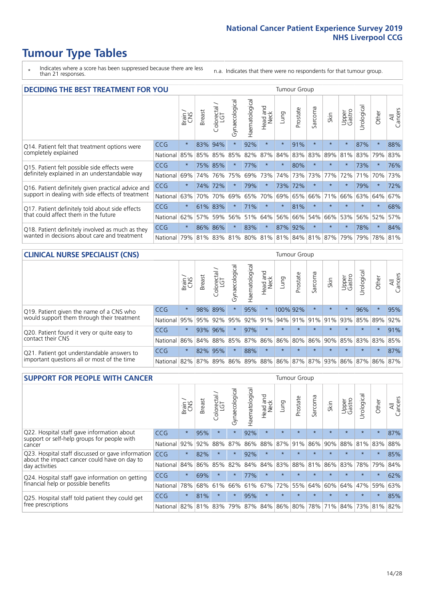## **Tumour Type Tables**

- \* Indicates where a score has been suppressed because there are less than 21 responses.
- n.a. Indicates that there were no respondents for that tumour group.

| <b>DECIDING THE BEST TREATMENT FOR YOU</b>         |          |         |               |                             |                |                |                         |         | <b>Tumour Group</b> |                                     |         |                 |            |         |                |
|----------------------------------------------------|----------|---------|---------------|-----------------------------|----------------|----------------|-------------------------|---------|---------------------|-------------------------------------|---------|-----------------|------------|---------|----------------|
|                                                    |          | Brain   | <b>Breast</b> | olorectal.<br>LGT<br>$\cup$ | Gynaecological | Haematological | ead and<br>Neck<br>Head | Lung    | Prostate            | arcoma<br>$\overline{2}$            | Skin    | Upper<br>Gastro | Jrological | Other   | All<br>Cancers |
| Q14. Patient felt that treatment options were      | CCG      | $\star$ | 83%           | 94%                         | $\star$        | 92%            | $\star$                 | $\star$ | 91%                 | $\star$                             |         | $\star$         | 87%        | $\star$ | 88%            |
| completely explained                               | National | 85%     | 85%           | 85%                         | 85%            | 82%            | 87%                     | 84%     | 83%                 | 83%                                 | 89%     | 81%             | 83%        | 79%     | 83%            |
| Q15. Patient felt possible side effects were       | CCG      | $\star$ |               | 75% 85%                     | $\star$        | 77%            | $\star$                 | $\star$ | 80%                 | $\star$                             |         | $\star$         | 73%        | $\star$ | 76%            |
| definitely explained in an understandable way      | National | 69%     | 74%           | 76%                         | 75%            | 69%            | 73%                     | 74%     | 73%                 | 73%                                 | 77%     | 72%             | 71%        | 70%     | 73%            |
| Q16. Patient definitely given practical advice and | CCG      | $\star$ | 74%           | 72%                         |                | 79%            | $\star$                 |         | 73% 72%             | $\star$                             | $\star$ | $\star$         | 79%        | $\star$ | 72%            |
| support in dealing with side effects of treatment  | National | 63%     | 70%           | 70%                         | 69%            | 65%            | 70%                     | 69%     | 65%                 | 66%                                 | 71%     | 66%             | 63%        | 64%     | 67%            |
| Q17. Patient definitely told about side effects    | CCG      | $\star$ | 61%           | 83%                         |                | 71%            | $\star$                 | $\star$ | 81%                 | $\star$                             | $\star$ | $\star$         | $\star$    | $\star$ | 68%            |
| that could affect them in the future               | National | 62%     | 57%           | 59%                         | 56%            | 51%            | 64%                     | 56%     | 66%                 | 54%                                 | 66%     | 53%             | 56%        | 52%     | 57%            |
| Q18. Patient definitely involved as much as they   | CCG      | $\star$ | 86%           | 86%                         | $\star$        | 83%            | $\star$                 | 87%     | 92%                 | $^\star$                            | $\star$ | $\star$         | 78%        | $\star$ | 84%            |
| wanted in decisions about care and treatment       | National | 79%     |               |                             |                |                |                         |         |                     | 81% 83% 81% 80% 81% 81% 84% 81% 87% |         | 79%             | 79%        | 78% 81% |                |

#### **CLINICAL NURSE SPECIALIST (CNS)** Tumour Group

|                                             |            | Brain   | Breast | Colorectal<br>LGT | ᢛ<br>Gynaecologic | Haematological | Head and<br>Neck | Lung     | Prostate | Sarcoma | Skin                        | Upper<br>Gastro | $\sigma$<br>Irologica | Other    | All<br>Cancers |
|---------------------------------------------|------------|---------|--------|-------------------|-------------------|----------------|------------------|----------|----------|---------|-----------------------------|-----------------|-----------------------|----------|----------------|
| Q19. Patient given the name of a CNS who    | <b>CCG</b> | $\star$ |        | 98% 89%           |                   | 95%            | $\star$          | 100% 92% |          |         | $\star$                     |                 | 96%                   | $\star$  | 95%            |
| would support them through their treatment  | National   | 95%     | 95%    | 92%               | 95%               | 92%            | 91%              | 94% 91%  |          | 91%     | 91%                         | 93%             | 85% 89%               |          | 92%            |
| Q20. Patient found it very or quite easy to | CCG        | $\star$ | 93%    | 96%               | $\star$           | 97%            | $\star$          | $\star$  | $\star$  | $\star$ | $\star$                     | $\star$         | $\star$               | $\star$  | 91%            |
| contact their CNS                           | National   | 86%     | 84%    | 88%               | 85%               |                |                  |          |          |         | 87% 86% 86% 80% 86% 90% 85% |                 | 83% 83% 85%           |          |                |
| Q21. Patient got understandable answers to  | CCG        | $\star$ | 82%    | 95%               | $\star$           | 88%            | $\star$          | $\star$  | $\star$  | $\star$ | $\star$                     | $\star$         | $\star$               | $^\star$ | 87%            |
| important questions all or most of the time | National   | 82%     | 87%    | 89%               |                   |                |                  |          |          |         | 86% 89% 88% 86% 87% 87% 93% |                 | 86% 87% 86% 87%       |          |                |

| <b>SUPPORT FOR PEOPLE WITH CANCER</b>                                                             |            |         |               |            |                |                |                         |             | Tumour Group |         |         |                 |            |         |                |
|---------------------------------------------------------------------------------------------------|------------|---------|---------------|------------|----------------|----------------|-------------------------|-------------|--------------|---------|---------|-----------------|------------|---------|----------------|
|                                                                                                   |            | Brain   | <b>Breast</b> | Colorectal | Gynaecological | Haematological | ead and<br>Neck<br>Head | Lung        | Prostate     | Sarcoma | Skin    | Upper<br>Gastro | Jrological | Other   | All<br>Cancers |
| Q22. Hospital staff gave information about<br>support or self-help groups for people with         | <b>CCG</b> | $\star$ | 95%           | $\star$    | $\star$        | 92%            | $\star$                 | $\star$     | $\star$      | $\star$ | $\star$ | $\star$         | $\star$    | $\star$ | 87%            |
| cancer                                                                                            | National   | 92%     | 92%           | 88%        | 87%            | 86%            | 88%                     | 87%         | 91%          | 86%     | 90%     | 88%             | 81%        | 83%     | 88%            |
| Q23. Hospital staff discussed or gave information<br>about the impact cancer could have on day to | CCG.       | $\star$ | 82%           | $\star$    | $\star$        | 92%            | $\ast$                  | $\star$     | $\star$      | $\star$ | $\star$ | $\star$         | $\star$    | $\star$ | 85%            |
| day activities                                                                                    | National   | 84%     | 86%           | 85%        | 82%            | 84%            | 84%                     | 83%         | 88%          | 81%     | 86%     | 83%             | 78%        | 79%     | 84%            |
| Q24. Hospital staff gave information on getting                                                   | CCG        | $\star$ | 69%           | $\star$    | $\star$        | 77%            | $\ast$                  | $\star$     | $\star$      | $\star$ |         | $\star$         | $\star$    | $\ast$  | 62%            |
| financial help or possible benefits                                                               | National   | 78%     | 68%           | 61%        | 66%            | 61%            | 67%                     | 72%         | 55%          | 64%     | 60%     | 64%             | 47%        | 59%     | 63%            |
| Q25. Hospital staff told patient they could get                                                   | CCG        | $\star$ | 81%           | $\star$    | $\star$        | 95%            | $\star$                 | $\star$     | $\star$      | $\star$ |         | $\star$         | $\star$    | $\star$ | 85%            |
| free prescriptions                                                                                | National   | 82%     | 81%           | 83%        | 79%            | 87%            |                         | 84% 86% 80% |              | 78%     | 71%     | 84%             | 73%        | 81%     | 82%            |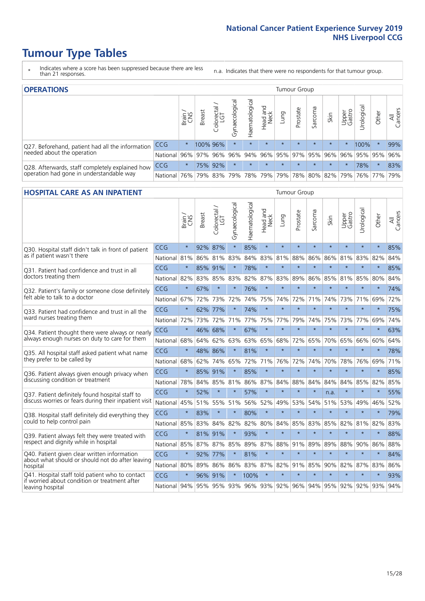## **Tumour Type Tables**

- \* Indicates where a score has been suppressed because there are less than 21 responses.
- n.a. Indicates that there were no respondents for that tumour group.

| <b>OPERATIONS</b>                                |              |              |               |                   |                    |                     |                  |             | Tumour Group        |         |         |                 |                                         |         |                |
|--------------------------------------------------|--------------|--------------|---------------|-------------------|--------------------|---------------------|------------------|-------------|---------------------|---------|---------|-----------------|-----------------------------------------|---------|----------------|
|                                                  |              | Brain<br>CNS | <b>Breast</b> | Colorectal<br>LGT | ᠊ᢛ<br>Gynaecologic | Haematological      | Head and<br>Neck | <b>Dung</b> | Prostate            | Sarcoma | Skin    | Upper<br>Gastro | Jrological                              | Other   | All<br>Cancers |
| Q27. Beforehand, patient had all the information | CCG          | $\star$      |               | 100% 96%          | $\star$            | $\star$             | $\star$          | $\star$     | $\star$             | $\star$ | $\star$ | $\star$         | 100%                                    | $\ast$  | 99%            |
| needed about the operation                       | National     | 96%          |               |                   | 97% 96% 96%        |                     |                  |             |                     |         |         |                 | 94% 96% 95% 97% 95% 96% 96% 95% 95% 95% |         | 96%            |
| Q28. Afterwards, staff completely explained how  | <b>CCG</b>   | $\star$      |               | 75% 92%           | $\star$            |                     | $\star$          | $\star$     | $\star$             | $\star$ | $\star$ | $^\star$        | 78%                                     | $\star$ | 83%            |
| operation had gone in understandable way         | National 76% |              |               |                   |                    | 79% 83% 79% 78% 79% |                  |             | 79% 78% 80% 82% 79% |         |         |                 |                                         | 76% 77% | 79%            |

#### **HOSPITAL CARE AS AN INPATIENT** Tumour Group

|                                                                                                  |              | Brain   | Breast  | Colorectal /<br>LGT | Gynaecological | Haematological          | Head and<br>Neck | Lung    | Prostate | Sarcoma | Skin                | Upper<br>Gastro | Urological | Other   | All<br>Cancers |
|--------------------------------------------------------------------------------------------------|--------------|---------|---------|---------------------|----------------|-------------------------|------------------|---------|----------|---------|---------------------|-----------------|------------|---------|----------------|
| Q30. Hospital staff didn't talk in front of patient                                              | CCG          | $\star$ | 92%     | 87%                 | $\star$        | 85%                     | $\star$          | $\star$ | $\star$  | $\star$ | $\star$             | $\star$         | $\star$    | $\star$ | 85%            |
| as if patient wasn't there                                                                       | National     | 81%     | 86%     | 81%                 | 83%            | 84%                     | 83%              | 81%     | 88%      | 86%     | 86%                 | 81%             | 83%        | 82%     | 84%            |
| Q31. Patient had confidence and trust in all                                                     | CCG          | $\star$ | 85% 91% |                     |                | 78%                     | $\star$          | $\star$ | $\star$  | $\star$ | $\star$             | $\star$         | $\star$    | $\star$ | 85%            |
| doctors treating them                                                                            | National     | 82%     |         | 83% 85%             | 83%            | 82%                     |                  | 87% 83% | 89%      | 86%     | 85%                 | 81%             | 85%        | 80%     | 84%            |
| Q32. Patient's family or someone close definitely                                                | CCG          | $\star$ | 67%     | $\star$             |                | 76%                     | $\star$          | $\star$ | $\star$  | $\star$ | $\star$             | $\star$         | $\star$    | $\star$ | 74%            |
| felt able to talk to a doctor                                                                    | National     | 67%     | 72%     | 73%                 | 72%            | 74%                     | 75%              | 74%     | 72%      | 71%     | 74%                 | 73%             | 71%        | 69%     | 72%            |
| Q33. Patient had confidence and trust in all the                                                 | CCG          | $\star$ | 62% 77% |                     | $\star$        | 74%                     | $\star$          | $\star$ | $\star$  | $\star$ | $\star$             | $\star$         | $\star$    | $\star$ | 75%            |
| ward nurses treating them                                                                        | National 72% |         | 73%     | 72%                 | 71%            | 77%                     |                  | 75% 77% | 79%      | 74%     | 75%                 | 73%             | 77%        | 69%     | 74%            |
| Q34. Patient thought there were always or nearly                                                 | CCG          | $\star$ | 46% 68% |                     | $\star$        | 67%                     | $\star$          | $\star$ | $\star$  | $\star$ | $\star$             | $\star$         | $\star$    | $\star$ | 63%            |
| always enough nurses on duty to care for them                                                    | National     | 68%     | 64%     | 62%                 | 63%            | 63%                     | 65%              | 68%     | 72%      | 65%     | 70%                 | 65%             | 66%        | 60%     | 64%            |
| Q35. All hospital staff asked patient what name                                                  | CCG          | $\star$ | 48%     | 86%                 | $\star$        | 81%                     | $\star$          | $\star$ | $\star$  | $\star$ | $\star$             | $\star$         | $\star$    | $\star$ | 78%            |
| they prefer to be called by                                                                      | National     | 68%     | 62%     | 74%                 | 65%            | 72%                     |                  | 71% 76% | 72%      | 74%     | 70%                 | 78%             | 76%        | 69%     | 71%            |
| Q36. Patient always given enough privacy when                                                    | CCG          | $\star$ | 85%     | 91%                 | $\star$        | 85%                     | $\star$          | $\star$ | $\star$  | $\star$ | $\star$             | $\star$         | $\star$    | $\star$ | 85%            |
| discussing condition or treatment                                                                | National 78% |         |         | 84% 85%             | 81%            | 86%                     |                  | 87% 84% | 88%      | 84%     | 84%                 | 84%             | 85%        | 82%     | 85%            |
| Q37. Patient definitely found hospital staff to                                                  | <b>CCG</b>   | $\star$ | 52%     | $\star$             | $\star$        | 57%                     | $\star$          | $\star$ | $\star$  | $\star$ | n.a.                | $\star$         | $\star$    | $\star$ | 55%            |
| discuss worries or fears during their inpatient visit                                            | National     | 45%     | 51%     | 55% 51%             |                | 56%                     |                  | 52% 49% | 53%      | 54%     | 51%                 |                 | 53% 49%    | 46%     | 52%            |
| Q38. Hospital staff definitely did everything they                                               | CCG          | $\star$ | 83%     | $\star$             | $\star$        | 80%                     | $\star$          | $\star$ | $\star$  | $\star$ | $\star$             | $\star$         | $\star$    | $\star$ | 79%            |
| could to help control pain                                                                       | National     | 85%     | 83%     | 84%                 | 82%            | 82%                     |                  | 80% 84% | 85%      | 83%     | 85%                 | 82%             | 81%        | 82%     | 83%            |
| Q39. Patient always felt they were treated with                                                  | CCG          | $\star$ | 81% 91% |                     | $\star$        | 93%                     | $\star$          | $\star$ | $\star$  | $\star$ | $\star$             | $\star$         | $\star$    | $\star$ | 88%            |
| respect and dignity while in hospital                                                            | National     | 85%     | 87%     | 87%                 | 85%            | 89%                     |                  | 87% 88% | 91%      | 89%     | 89%                 | 88%             | 90%        | 86%     | 88%            |
| Q40. Patient given clear written information<br>about what should or should not do after leaving | CCG          | $\star$ | 92%     | 77%                 |                | 81%                     | $\star$          | $\star$ | $\star$  | $\star$ | $\star$             | $\star$         | $\star$    | $\star$ | 84%            |
| hospital                                                                                         | National 80% |         | 89%     | 86%                 | 86%            | 83%                     |                  | 87% 82% | 91%      | 85%     | 90%                 | 82%             | 87%        | 83%     | 86%            |
| Q41. Hospital staff told patient who to contact<br>if worried about condition or treatment after | CCG          | $\star$ | 96% 91% |                     | $\star$        | 100%                    | $\star$          | $\star$ | $\star$  | $\star$ | $\star$             | $\star$         | $\star$    | $\star$ | 93%            |
| leaving hospital                                                                                 | National 94% |         |         |                     |                | 95% 95% 93% 96% 93% 92% |                  |         |          |         | 96% 94% 95% 92% 92% |                 |            | 93%     | 94%            |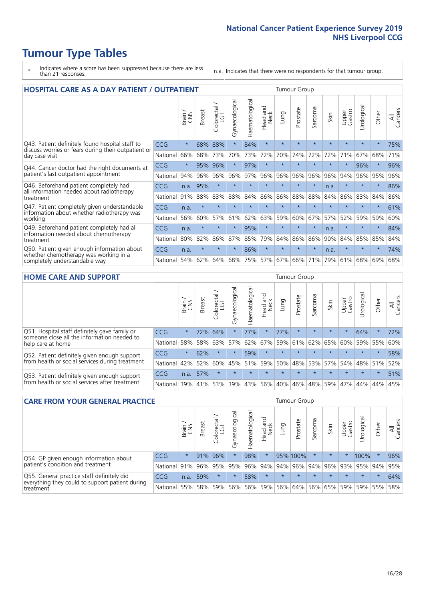# **Tumour Type Tables**

- \* Indicates where a score has been suppressed because there are less than 21 responses.
- n.a. Indicates that there were no respondents for that tumour group.

| <b>HOSPITAL CARE AS A DAY PATIENT / OUTPATIENT</b>                                                                    |            |         |               |            |                |                |                        |         |          | <b>Tumour Group</b>      |         |                 |            |         |                |  |  |  |  |  |  |  |
|-----------------------------------------------------------------------------------------------------------------------|------------|---------|---------------|------------|----------------|----------------|------------------------|---------|----------|--------------------------|---------|-----------------|------------|---------|----------------|--|--|--|--|--|--|--|
|                                                                                                                       |            | Brain   | <b>Breast</b> | Colorectal | Gynaecological | Haematological | ad and<br>Neck<br>Head | Lung    | Prostate | arcoma<br>$\overline{ }$ | Skin    | Upper<br>Gastro | Urological | Other   | All<br>Cancers |  |  |  |  |  |  |  |
| Q43. Patient definitely found hospital staff to                                                                       | CCG        | $\star$ | 68%           | 88%        | $\star$        | 84%            | $\star$                | $\star$ | $\star$  | $\star$                  | $\star$ | $\star$         | $\star$    | $\star$ | 75%            |  |  |  |  |  |  |  |
| discuss worries or fears during their outpatient or<br>day case visit                                                 | National   | 66%     | 68%           | 73%        | 70%            | 73%            | 72%                    | 70%     | 74%      | 72%                      | 72%     | 71%             | 67%        | 68%     | 71%            |  |  |  |  |  |  |  |
| Q44. Cancer doctor had the right documents at<br>patient's last outpatient appointment                                | <b>CCG</b> | $\star$ | 95%           | 96%        | $\star$        | 97%            | $\star$                | $\star$ | $\star$  | $\star$                  | $\star$ | $\star$         | 96%        | $\star$ | 96%            |  |  |  |  |  |  |  |
|                                                                                                                       | National   | 94%     | 96%           | 96%        | 96%            | 97%            | 96%                    | 96%     | 96%      | 96%                      | 96%     | 94%             | 96%        | 95%     | 96%            |  |  |  |  |  |  |  |
| Q46. Beforehand patient completely had<br>all information needed about radiotherapy                                   | CCG        | n.a.    | 95%           | $\star$    |                |                | $\star$                | ÷       | $\star$  | $\star$                  | n.a.    | $\star$         | ÷          | $\ast$  | 86%            |  |  |  |  |  |  |  |
| treatment                                                                                                             | National   | 91%     | 88%           | 83%        | 88%            | 84%            | 86%                    | 86%     | 88%      | 88%                      | 84%     | 86%             | 83%        | 84%     | 86%            |  |  |  |  |  |  |  |
| Q47. Patient completely given understandable<br>information about whether radiotherapy was                            | CCG        | n.a.    | $\star$       | $\star$    |                |                | $\star$                | $\star$ | $\star$  | $\star$                  |         | $\star$         | $\star$    | $\star$ | 61%            |  |  |  |  |  |  |  |
| working                                                                                                               | National   | 56%     | 60%           | 57%        | 61%            | 62%            | 63%                    | 59%     | 60%      | 67%                      | 57%     | 52%             | 59%        | 59%     | 60%            |  |  |  |  |  |  |  |
| Q49. Beforehand patient completely had all                                                                            | CCG        | n.a.    | $\star$       | $\star$    | $\star$        | 95%            | $\star$                | $\star$ | $\star$  | $\star$                  | n.a.    | $\star$         | $\star$    | $\ast$  | 84%            |  |  |  |  |  |  |  |
| information needed about chemotherapy<br>treatment                                                                    | National   | 80%     | 82%           | 86%        | 87%            | 85%            | 79%                    | 84%     | 86%      | 86%                      | 90%     | 84%             | 85%        | 85%     | 84%            |  |  |  |  |  |  |  |
| Q50. Patient given enough information about<br>whether chemotherapy was working in a<br>completely understandable way | <b>CCG</b> | n.a.    | $\star$       | $\star$    | $\star$        | 86%            | $\star$                | $\star$ | $\star$  | $\star$                  | n.a.    | $\star$         | $\star$    | $\ast$  | 74%            |  |  |  |  |  |  |  |
|                                                                                                                       | National   | 54%     | 62%           | 64%        | 68%            | 75%            |                        | 57% 67% | 66%      | 71%                      | 79%     | 61%             | 68%        | 69%     | 68%            |  |  |  |  |  |  |  |

#### **HOME CARE AND SUPPORT** Tumour Group

|                                                                                                                   |            | Brain   | <b>Breast</b> | olorectal<br>LGT<br>Ũ | ᢛ<br>Gynaecologic | Haematological | ad and<br>Neck<br>Head | <b>Dung</b> | Prostate | Sarcoma | Skin    | Upper<br>Gastro | Urological | Other   | All<br>Cancers |
|-------------------------------------------------------------------------------------------------------------------|------------|---------|---------------|-----------------------|-------------------|----------------|------------------------|-------------|----------|---------|---------|-----------------|------------|---------|----------------|
| Q51. Hospital staff definitely gave family or<br>someone close all the information needed to<br>help care at home | <b>CCG</b> | $\star$ | 72%           | 64%                   |                   | 77%            | $\star$                | 77%         | $\star$  | $\star$ | $\star$ | $\star$         | 64%        | $\ast$  | 72%            |
|                                                                                                                   | National   | 58%     | 58%           | 63%                   | 57%               | 62%            | 67%                    | 59%         | 61%      |         | 62% 65% | 60%             | 59% 55%    |         | 60%            |
| Q52. Patient definitely given enough support<br>from health or social services during treatment                   | <b>CCG</b> | $\star$ | 62%           | $\star$               | $\star$           | 59%            | $\star$                | $\star$     | $\star$  | $\star$ | $\star$ | $\star$         | $\star$    | $\star$ | 58%            |
|                                                                                                                   | National   | 42%     | 52%           | 60%                   | $ 45\% $          | 51%            | 59%                    | 50%         | 48%      |         | 53% 57% | 54%             | 48% 51%    |         | 52%            |
| Q53. Patient definitely given enough support<br>from health or social services after treatment                    | CCG        | n.a.    | 57%           |                       | $\star$           |                | $\star$                | $\star$     | $\star$  |         | $\star$ | $\star$         | $\star$    | $\star$ | 51%            |
|                                                                                                                   | National   | 139%    |               | 41% 53%               | 39%               | 43%            | 56%                    | 40%         | 46%      | 48% 59% |         | 47%             | 44%        | 44%     | 45%            |

| <b>CARE FROM YOUR GENERAL PRACTICE</b>                                                                     |              |               |               |                   |                | Tumour Group   |                  |         |                                     |         |         |                 |                 |         |                |
|------------------------------------------------------------------------------------------------------------|--------------|---------------|---------------|-------------------|----------------|----------------|------------------|---------|-------------------------------------|---------|---------|-----------------|-----------------|---------|----------------|
|                                                                                                            |              | Brain.<br>CNS | <b>Breast</b> | Colorectal<br>LGT | Gynaecological | Haematological | Head and<br>Neck | Lung    | Prostate                            | Sarcoma | Skin    | Upper<br>Gastro | Urological      | Other   | All<br>Cancers |
| Q54. GP given enough information about<br>patient's condition and treatment                                | <b>CCG</b>   | $\star$       |               | 91% 96%           |                | 98%            | $\star$          |         | 95% 100%                            | $\star$ | $\star$ | $\star$         | 100%            | $\ast$  | 96%            |
|                                                                                                            | National 91% |               |               | 96% 95%           | 95%            |                |                  |         | 96% 94% 94% 96% 94% 96% 93% 95% 94% |         |         |                 |                 |         | 95%            |
| Q55. General practice staff definitely did<br>everything they could to support patient during<br>treatment | <b>CCG</b>   | n.a.          | 59%           | $\star$           | $\star$        | 58%            | $\star$          | $\star$ | $\star$                             | $\star$ | $\star$ | $\star$         | $\star$         | $\star$ | 64%            |
|                                                                                                            | National 55% |               |               | 58% 59%           | 56%            |                |                  |         | 56% 59% 56% 64%                     |         | 56% 65% |                 | 59%   59%   55% |         | 58%            |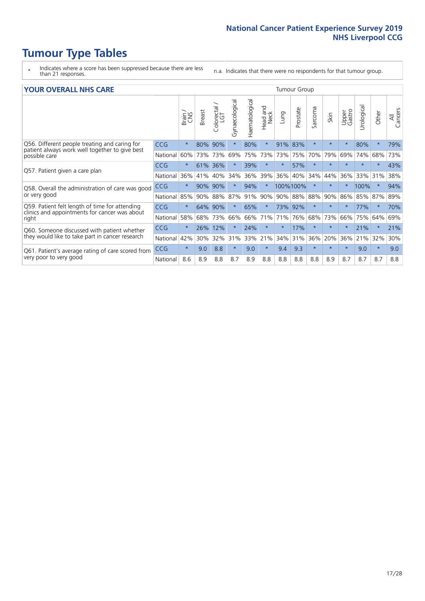## **Tumour Type Tables**

- \* Indicates where a score has been suppressed because there are less than 21 responses.
- n.a. Indicates that there were no respondents for that tumour group.

#### **YOUR OVERALL NHS CARE** THE CONSTRUCTION OF THE THROUP GROUP TUMOUR GROUP

| UN V V LIVALL IVI 19 GAINL |              |               |                             |                |                |                                |            |          |                                |         |                 |               |          |                |  |  |  |  |  |  |
|----------------------------|--------------|---------------|-----------------------------|----------------|----------------|--------------------------------|------------|----------|--------------------------------|---------|-----------------|---------------|----------|----------------|--|--|--|--|--|--|
|                            | Brain<br>CNS | <b>Breast</b> | colorectal<br>LGT<br>$\cup$ | Gynaecological | Haematological | <b>Bad and</b><br>Neck<br>Head | Lung       | Prostate | arcoma<br>$\sqrt{ }$           | Skin    | Upper<br>Gastro | ී<br>Urologia | Other    | All<br>Cancers |  |  |  |  |  |  |
| <b>CCG</b>                 | $\star$      | 80%           | 90%                         |                | 80%            | $\star$                        | 91%        | 83%      | $\star$                        | $\star$ | $\star$         | 80%           | $\ast$   | 79%            |  |  |  |  |  |  |
| National                   | 60%          | 73%           | 73%                         | 69%            | 75%            | 73%                            | 73%        | 75%      | 70%                            | 79%     | 69%             | 74%           | 68%      | 73%            |  |  |  |  |  |  |
| <b>CCG</b>                 | $\star$      | 61%           | 36%                         |                | 39%            | $\ast$                         | $\star$    | 57%      | $\star$                        | $\star$ | $\star$         | $\star$       | $\ast$   | 43%            |  |  |  |  |  |  |
| National                   | 36%          | 41%           | 40%                         | 34%            | 36%            | 39%                            | 36%        | 40%      | 34%                            | 44%     | 36%             | 33%           | 31%      | 38%            |  |  |  |  |  |  |
| <b>CCG</b>                 | $\star$      | 90%           | 90%                         |                | 94%            | $\ast$                         |            |          | $\ast$                         | $\star$ |                 |               | $\star$  | 94%            |  |  |  |  |  |  |
| National                   | 85%          | 90%           | 88%                         | 87%            |                | 90%                            |            |          | 88%                            | 90%     | 86%             | 85%           |          | 89%            |  |  |  |  |  |  |
| <b>CCG</b>                 | $\star$      | 64%           | 90%                         | $\star$        | 65%            | $\star$                        |            |          | $\star$                        | $\ast$  | $\star$         | 77%           | $\ast$   | 70%            |  |  |  |  |  |  |
| National                   | 58%          | 68%           | 73%                         | 66%            | 66%            | 71%                            | 71%        | 76%      | 68%                            | 73%     | 66%             | 75%           | 64%      | 69%            |  |  |  |  |  |  |
| <b>CCG</b>                 | $\star$      | 26%           | 12%                         |                | 24%            | $\star$                        | $\star$    | 17%      | $\star$                        | $\star$ |                 | 21%           | $\ast$   | 21%            |  |  |  |  |  |  |
| National                   | 42%          | 30%           | 32%                         | 31%            | 33%            |                                | 34%        | 31%      | 36%                            | 20%     | 36%             | 21%           | 32%      | 30%            |  |  |  |  |  |  |
| <b>CCG</b>                 | $\star$      | 9.0           | 8.8                         | $\star$        | 9.0            | $\ast$                         | 9.4        | 9.3      | $\star$                        | $\star$ | $\star$         | 9.0           | $^\star$ | 9.0            |  |  |  |  |  |  |
| National                   | 8.6          | 8.9           | 8.8                         | 8.7            | 8.9            | 8.8                            | 8.8        | 8.8      | 8.8                            | 8.9     | 8.7             | 8.7           | 8.7      | 8.8            |  |  |  |  |  |  |
|                            |              |               |                             |                |                |                                | 91%<br>21% |          | 100%100%<br>90% 88%<br>73% 92% |         |                 |               |          | 100%<br>87%    |  |  |  |  |  |  |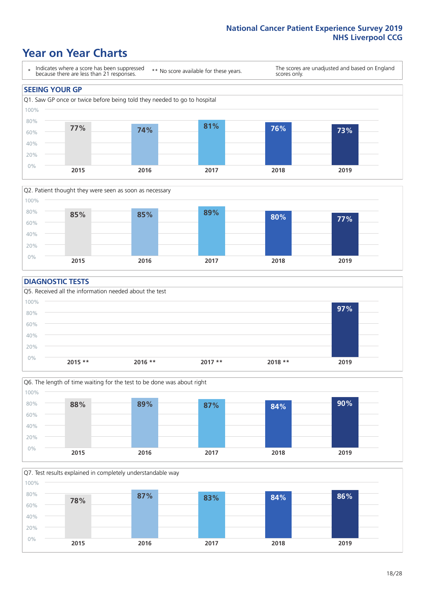### **Year on Year Charts**





#### **DIAGNOSTIC TESTS**





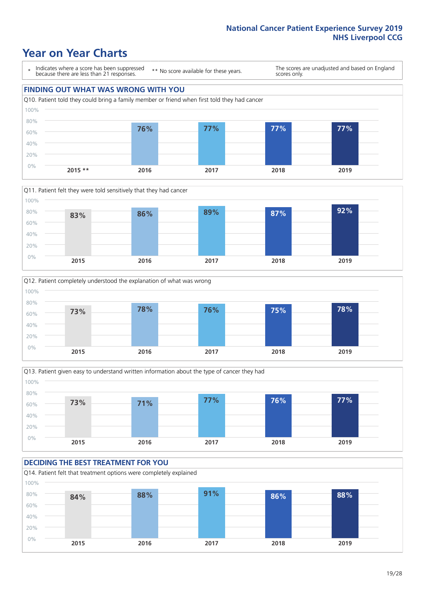### **Year on Year Charts**

\* Indicates where a score has been suppressed because there are less than 21 responses.

\*\* No score available for these years.

The scores are unadjusted and based on England scores only.

### **FINDING OUT WHAT WAS WRONG WITH YOU** Q10. Patient told they could bring a family member or friend when first told they had cancer 0% 20% 40% 60% 80% 100% **2015 \*\* 2016 2017 2018 2019 76% 77% 77% 77%**







#### **DECIDING THE BEST TREATMENT FOR YOU**

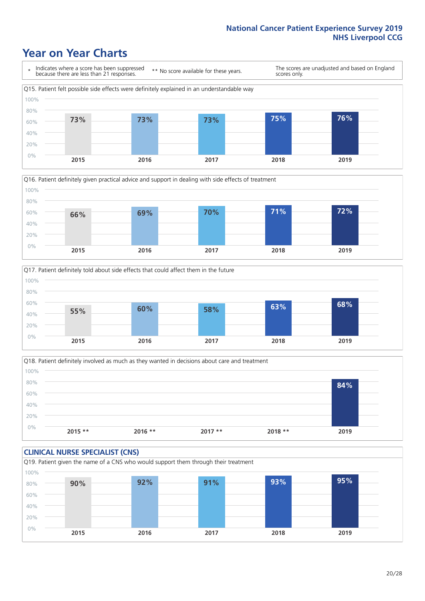### **Year on Year Charts**









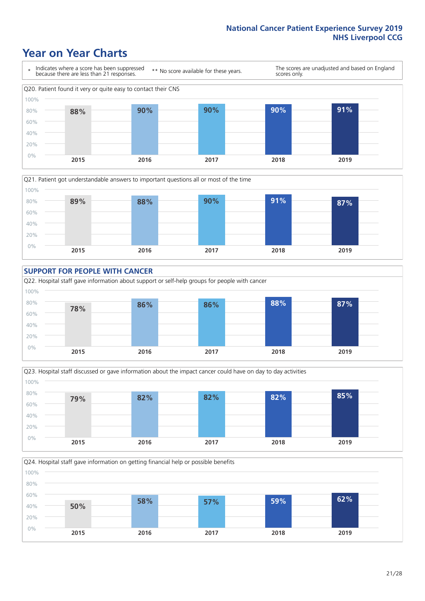### **Year on Year Charts**









Q24. Hospital staff gave information on getting financial help or possible benefits 0% 20% 40% 60% 80% 100% **2015 2016 2017 2018 2019 50% 58% 57% 59% 62%**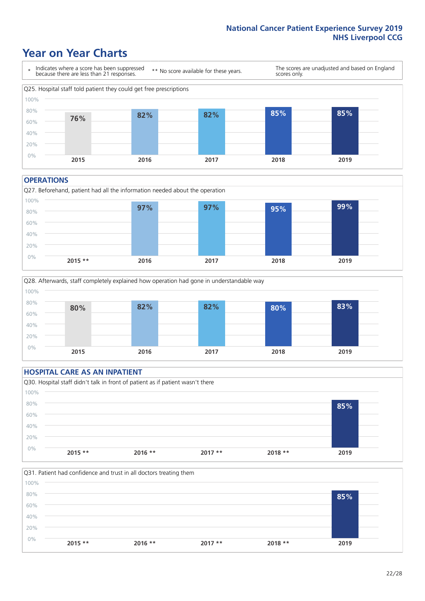### **Year on Year Charts**



#### **OPERATIONS**







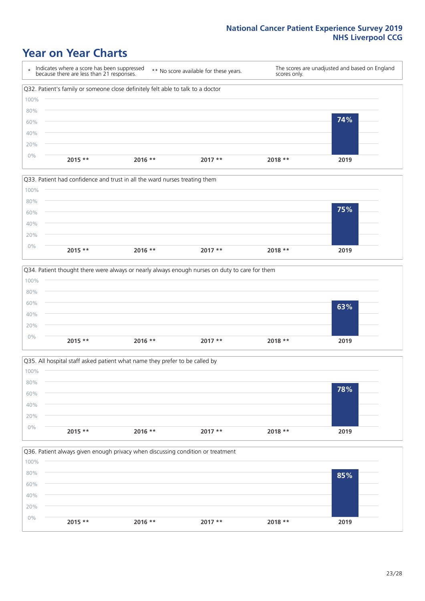### **Year on Year Charts**









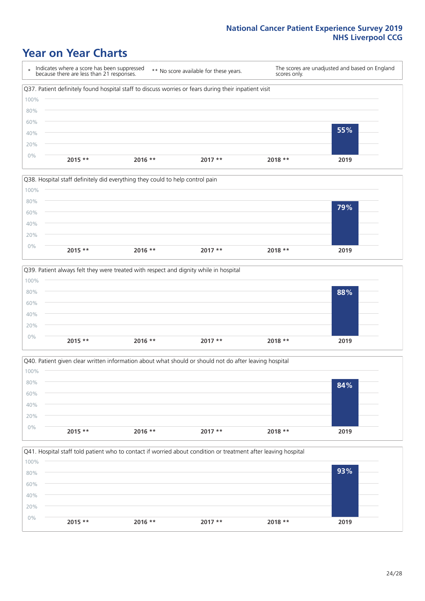### **Year on Year Charts**

\* Indicates where a score has been suppressed because there are less than 21 responses. \*\* No score available for these years. The scores are unadjusted and based on England scores only. Q37. Patient definitely found hospital staff to discuss worries or fears during their inpatient visit 0% 20% 40% 60% 80% 100% **2015 \*\* 2016 \*\* 2017 \*\* 2018 \*\* 2019 55%**







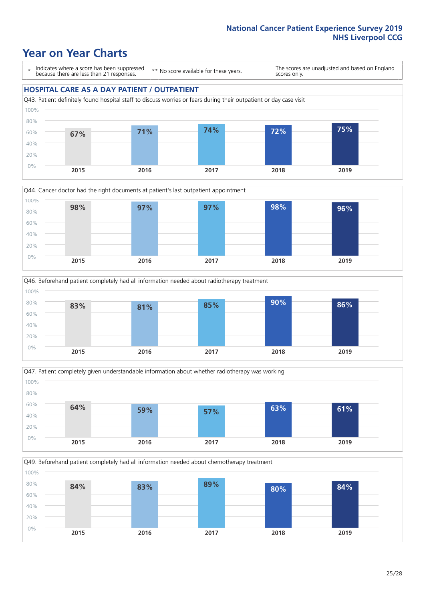### **Year on Year Charts**

\* Indicates where a score has been suppressed because there are less than 21 responses.

\*\* No score available for these years.

The scores are unadjusted and based on England scores only.

#### **HOSPITAL CARE AS A DAY PATIENT / OUTPATIENT**









Q49. Beforehand patient completely had all information needed about chemotherapy treatment 0% 20% 40% 60% 80% 100% **2015 2016 2017 2018 2019 84% 83% 89% 80% 84%**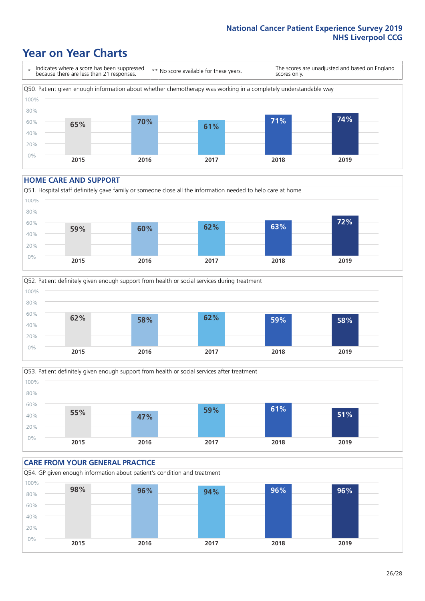### **Year on Year Charts**

\* Indicates where a score has been suppressed because there are less than 21 responses. \*\* No score available for these years. The scores are unadjusted and based on England scores only. Q50. Patient given enough information about whether chemotherapy was working in a completely understandable way 0% 20% 40% 60% 80% 100% **2015 2016 2017 2018 2019 65% 70% 61% 71% 74%**

#### **HOME CARE AND SUPPORT**







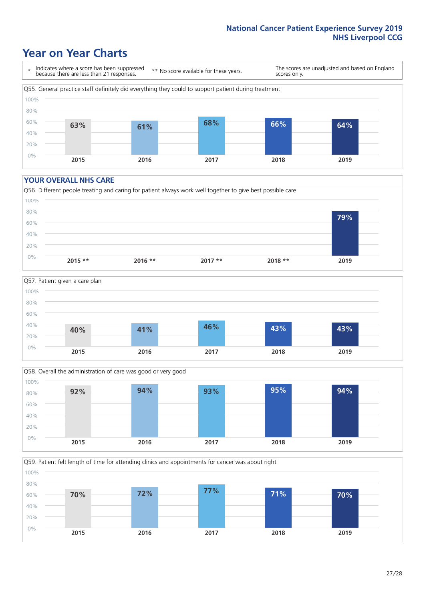### **Year on Year Charts**

\* Indicates where a score has been suppressed because there are less than 21 responses.

\*\* No score available for these years.

The scores are unadjusted and based on England scores only.



#### **YOUR OVERALL NHS CARE**







Q59. Patient felt length of time for attending clinics and appointments for cancer was about right